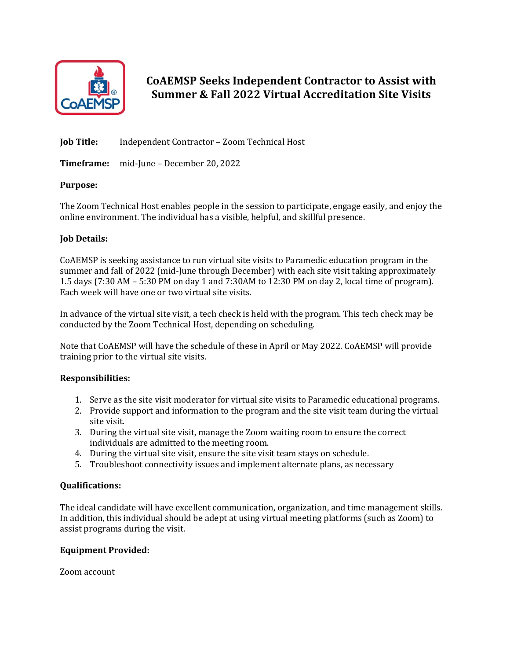

**CoAEMSP Seeks Independent Contractor to Assist with Summer & Fall 2022 Virtual Accreditation Site Visits** 

**Job Title:** Independent Contractor - Zoom Technical Host

**Timeframe:** mid-June – December 20, 2022

# **Purpose:**

The Zoom Technical Host enables people in the session to participate, engage easily, and enjoy the online environment. The individual has a visible, helpful, and skillful presence.

# **Job Details:**

CoAEMSP is seeking assistance to run virtual site visits to Paramedic education program in the summer and fall of 2022 (mid-June through December) with each site visit taking approximately 1.5 days  $(7:30 \text{ AM} - 5:30 \text{ PM} \text{ on day } 1 \text{ and } 7:30 \text{ AM} \text{ to } 12:30 \text{ PM} \text{ on day } 2$ , local time of program). Each week will have one or two virtual site visits.

In advance of the virtual site visit, a tech check is held with the program. This tech check may be conducted by the Zoom Technical Host, depending on scheduling.

Note that CoAEMSP will have the schedule of these in April or May 2022. CoAEMSP will provide training prior to the virtual site visits.

# **Responsibilities:**

- 1. Serve as the site visit moderator for virtual site visits to Paramedic educational programs.
- 2. Provide support and information to the program and the site visit team during the virtual site visit.
- 3. During the virtual site visit, manage the Zoom waiting room to ensure the correct individuals are admitted to the meeting room.
- 4. During the virtual site visit, ensure the site visit team stays on schedule.
- 5. Troubleshoot connectivity issues and implement alternate plans, as necessary

# **Qualifications:**

The ideal candidate will have excellent communication, organization, and time management skills. In addition, this individual should be adept at using virtual meeting platforms (such as Zoom) to assist programs during the visit.

#### **Equipment Provided:**

Zoom account